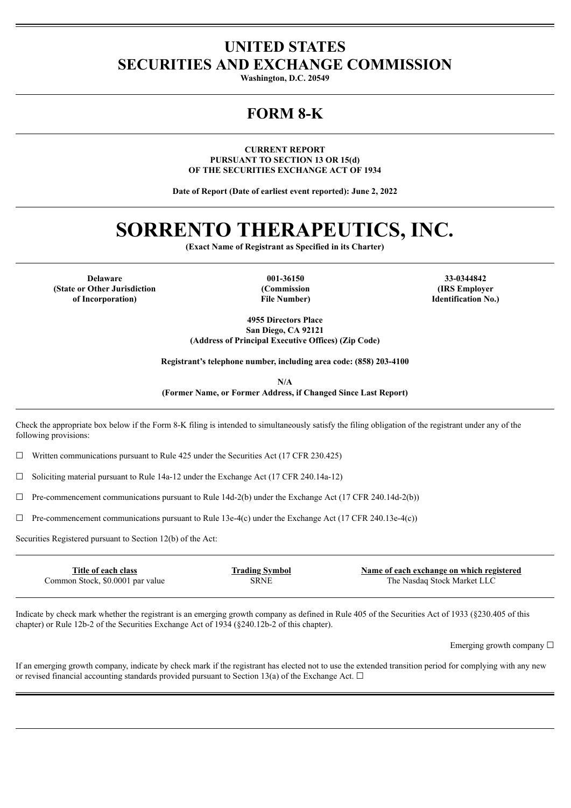# **UNITED STATES SECURITIES AND EXCHANGE COMMISSION**

**Washington, D.C. 20549**

# **FORM 8-K**

**CURRENT REPORT PURSUANT TO SECTION 13 OR 15(d) OF THE SECURITIES EXCHANGE ACT OF 1934**

**Date of Report (Date of earliest event reported): June 2, 2022**

# **SORRENTO THERAPEUTICS, INC.**

**(Exact Name of Registrant as Specified in its Charter)**

**Delaware 001-36150 33-0344842 (State or Other Jurisdiction of Incorporation)**

**(Commission File Number)**

**(IRS Employer Identification No.)**

**4955 Directors Place San Diego, CA 92121 (Address of Principal Executive Offices) (Zip Code)**

**Registrant's telephone number, including area code: (858) 203-4100**

**N/A (Former Name, or Former Address, if Changed Since Last Report)**

Check the appropriate box below if the Form 8-K filing is intended to simultaneously satisfy the filing obligation of the registrant under any of the following provisions:

 $\Box$  Written communications pursuant to Rule 425 under the Securities Act (17 CFR 230.425)

☐ Soliciting material pursuant to Rule 14a-12 under the Exchange Act (17 CFR 240.14a-12)

 $\Box$  Pre-commencement communications pursuant to Rule 14d-2(b) under the Exchange Act (17 CFR 240.14d-2(b))

 $\Box$  Pre-commencement communications pursuant to Rule 13e-4(c) under the Exchange Act (17 CFR 240.13e-4(c))

Securities Registered pursuant to Section 12(b) of the Act:

| Title of each class              | <b>Trading Symbol</b> | Name of each exchange on which registered |
|----------------------------------|-----------------------|-------------------------------------------|
| Common Stock, \$0.0001 par value | SRNE                  | The Nasdaq Stock Market LLC               |
|                                  |                       |                                           |

Indicate by check mark whether the registrant is an emerging growth company as defined in Rule 405 of the Securities Act of 1933 (§230.405 of this chapter) or Rule 12b-2 of the Securities Exchange Act of 1934 (§240.12b-2 of this chapter).

Emerging growth company ☐

If an emerging growth company, indicate by check mark if the registrant has elected not to use the extended transition period for complying with any new or revised financial accounting standards provided pursuant to Section 13(a) of the Exchange Act.  $\Box$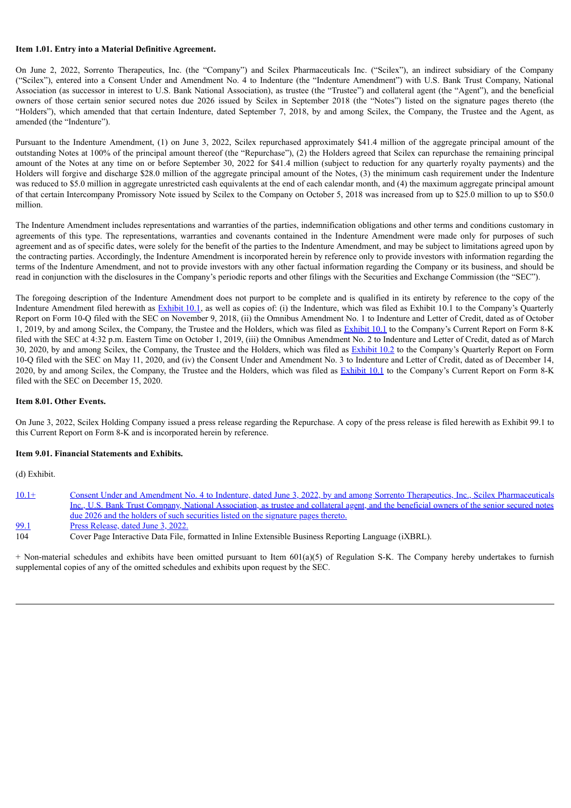## **Item 1.01. Entry into a Material Definitive Agreement.**

On June 2, 2022, Sorrento Therapeutics, Inc. (the "Company") and Scilex Pharmaceuticals Inc. ("Scilex"), an indirect subsidiary of the Company ("Scilex"), entered into a Consent Under and Amendment No. 4 to Indenture (the "Indenture Amendment") with U.S. Bank Trust Company, National Association (as successor in interest to U.S. Bank National Association), as trustee (the "Trustee") and collateral agent (the "Agent"), and the beneficial owners of those certain senior secured notes due 2026 issued by Scilex in September 2018 (the "Notes") listed on the signature pages thereto (the "Holders"), which amended that that certain Indenture, dated September 7, 2018, by and among Scilex, the Company, the Trustee and the Agent, as amended (the "Indenture").

Pursuant to the Indenture Amendment, (1) on June 3, 2022, Scilex repurchased approximately \$41.4 million of the aggregate principal amount of the outstanding Notes at 100% of the principal amount thereof (the "Repurchase"), (2) the Holders agreed that Scilex can repurchase the remaining principal amount of the Notes at any time on or before September 30, 2022 for \$41.4 million (subject to reduction for any quarterly royalty payments) and the Holders will forgive and discharge \$28.0 million of the aggregate principal amount of the Notes, (3) the minimum cash requirement under the Indenture was reduced to \$5.0 million in aggregate unrestricted cash equivalents at the end of each calendar month, and (4) the maximum aggregate principal amount of that certain Intercompany Promissory Note issued by Scilex to the Company on October 5, 2018 was increased from up to \$25.0 million to up to \$50.0 million.

The Indenture Amendment includes representations and warranties of the parties, indemnification obligations and other terms and conditions customary in agreements of this type. The representations, warranties and covenants contained in the Indenture Amendment were made only for purposes of such agreement and as of specific dates, were solely for the benefit of the parties to the Indenture Amendment, and may be subject to limitations agreed upon by the contracting parties. Accordingly, the Indenture Amendment is incorporated herein by reference only to provide investors with information regarding the terms of the Indenture Amendment, and not to provide investors with any other factual information regarding the Company or its business, and should be read in conjunction with the disclosures in the Company's periodic reports and other filings with the Securities and Exchange Commission (the "SEC").

The foregoing description of the Indenture Amendment does not purport to be complete and is qualified in its entirety by reference to the copy of the Indenture Amendment filed herewith as **[Exhibit](https://www.sec.gov/Archives/edgar/data/850261/000085026118000033/exhibit101.htm) 10.1**, as well as copies of: (i) the Indenture, which was filed as Exhibit 10.1 to the Company's Quarterly Report on Form 10-Q filed with the SEC on November 9, 2018, (ii) the Omnibus Amendment No. 1 to Indenture and Letter of Credit, dated as of October 1, 2019, by and among Scilex, the Company, the Trustee and the Holders, which was filed as [Exhibit](https://www.sec.gov/Archives/edgar/data/850261/000114420419046767/tv530272_ex10-1.htm) 10.1 to the Company's Current Report on Form 8-K filed with the SEC at 4:32 p.m. Eastern Time on October 1, 2019, (iii) the Omnibus Amendment No. 2 to Indenture and Letter of Credit, dated as of March 30, 2020, by and among Scilex, the Company, the Trustee and the Holders, which was filed as [Exhibit](https://www.sec.gov/Archives/edgar/data/850261/000156459020024153/srne-ex102_166.htm) 10.2 to the Company's Quarterly Report on Form 10-Q filed with the SEC on May 11, 2020, and (iv) the Consent Under and Amendment No. 3 to Indenture and Letter of Credit, dated as of December 14, 2020, by and among Scilex, the Company, the Trustee and the Holders, which was filed as **[Exhibit](https://www.sec.gov/Archives/edgar/data/850261/000156459020057183/srne-ex101_33.htm) 10.1** to the Company's Current Report on Form 8-K filed with the SEC on December 15, 2020.

## **Item 8.01. Other Events.**

On June 3, 2022, Scilex Holding Company issued a press release regarding the Repurchase. A copy of the press release is filed herewith as Exhibit 99.1 to this Current Report on Form 8-K and is incorporated herein by reference.

#### **Item 9.01. Financial Statements and Exhibits.**

(d) Exhibit.

| $10.1+$     | Consent Under and Amendment No. 4 to Indenture, dated June 3, 2022, by and among Sorrento Therapeutics, Inc., Scilex Pharmaceuticals        |
|-------------|---------------------------------------------------------------------------------------------------------------------------------------------|
|             | Inc., U.S. Bank Trust Company, National Association, as trustee and collateral agent, and the beneficial owners of the senior secured notes |
|             | due 2026 and the holders of such securities listed on the signature pages thereto.                                                          |
| <u>99.1</u> | Press Release, dated June 3, 2022.                                                                                                          |
| 104         | Cover Page Interactive Data File, formatted in Inline Extensible Business Reporting Language (iXBRL).                                       |

+ Non-material schedules and exhibits have been omitted pursuant to Item 601(a)(5) of Regulation S-K. The Company hereby undertakes to furnish supplemental copies of any of the omitted schedules and exhibits upon request by the SEC.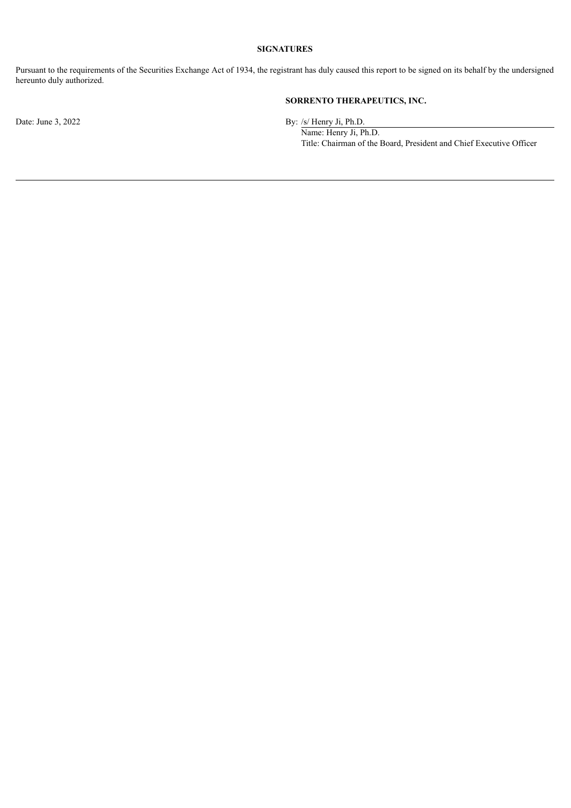# **SIGNATURES**

Pursuant to the requirements of the Securities Exchange Act of 1934, the registrant has duly caused this report to be signed on its behalf by the undersigned hereunto duly authorized.

# **SORRENTO THERAPEUTICS, INC.**

Date: June 3, 2022 By: /s/ Henry Ji, Ph.D.

Name: Henry Ji, Ph.D. Title: Chairman of the Board, President and Chief Executive Officer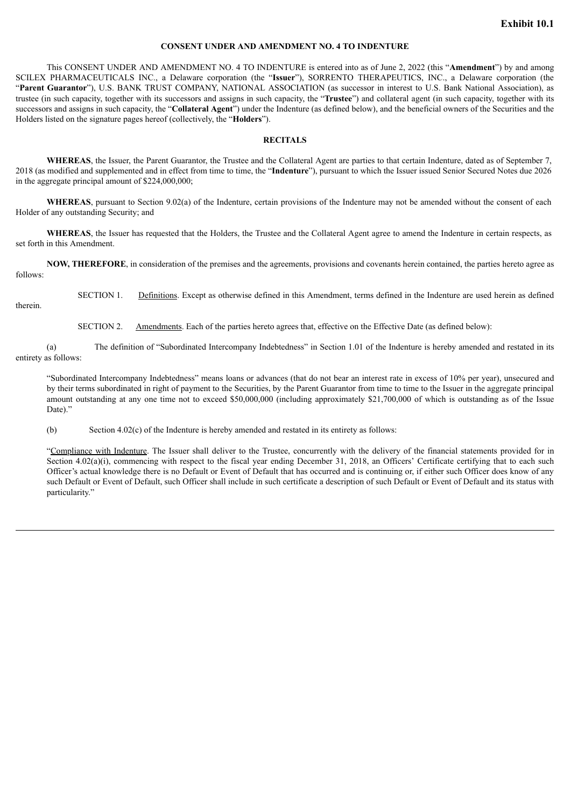# **CONSENT UNDER AND AMENDMENT NO. 4 TO INDENTURE**

<span id="page-3-0"></span>This CONSENT UNDER AND AMENDMENT NO. 4 TO INDENTURE is entered into as of June 2, 2022 (this "**Amendment**") by and among SCILEX PHARMACEUTICALS INC., a Delaware corporation (the "**Issuer**"), SORRENTO THERAPEUTICS, INC., a Delaware corporation (the "**Parent Guarantor**"), U.S. BANK TRUST COMPANY, NATIONAL ASSOCIATION (as successor in interest to U.S. Bank National Association), as trustee (in such capacity, together with its successors and assigns in such capacity, the "**Trustee**") and collateral agent (in such capacity, together with its successors and assigns in such capacity, the "**Collateral Agent**") under the Indenture (as defined below), and the beneficial owners of the Securities and the Holders listed on the signature pages hereof (collectively, the "**Holders**").

#### **RECITALS**

**WHEREAS**, the Issuer, the Parent Guarantor, the Trustee and the Collateral Agent are parties to that certain Indenture, dated as of September 7, 2018 (as modified and supplemented and in effect from time to time, the "**Indenture**"), pursuant to which the Issuer issued Senior Secured Notes due 2026 in the aggregate principal amount of \$224,000,000;

**WHEREAS**, pursuant to Section 9.02(a) of the Indenture, certain provisions of the Indenture may not be amended without the consent of each Holder of any outstanding Security; and

**WHEREAS**, the Issuer has requested that the Holders, the Trustee and the Collateral Agent agree to amend the Indenture in certain respects, as set forth in this Amendment.

**NOW, THEREFORE**, in consideration of the premises and the agreements, provisions and covenants herein contained, the parties hereto agree as follows:

SECTION 1. Definitions. Except as otherwise defined in this Amendment, terms defined in the Indenture are used herein as defined

therein.

SECTION 2. Amendments. Each of the parties hereto agrees that, effective on the Effective Date (as defined below):

(a) The definition of "Subordinated Intercompany Indebtedness" in Section 1.01 of the Indenture is hereby amended and restated in its entirety as follows:

"Subordinated Intercompany Indebtedness" means loans or advances (that do not bear an interest rate in excess of 10% per year), unsecured and by their terms subordinated in right of payment to the Securities, by the Parent Guarantor from time to time to the Issuer in the aggregate principal amount outstanding at any one time not to exceed \$50,000,000 (including approximately \$21,700,000 of which is outstanding as of the Issue Date)."

(b) Section 4.02(c) of the Indenture is hereby amended and restated in its entirety as follows:

"Compliance with Indenture. The Issuer shall deliver to the Trustee, concurrently with the delivery of the financial statements provided for in Section 4.02(a)(i), commencing with respect to the fiscal year ending December 31, 2018, an Officers' Certificate certifying that to each such Officer's actual knowledge there is no Default or Event of Default that has occurred and is continuing or, if either such Officer does know of any such Default or Event of Default, such Officer shall include in such certificate a description of such Default or Event of Default and its status with particularity."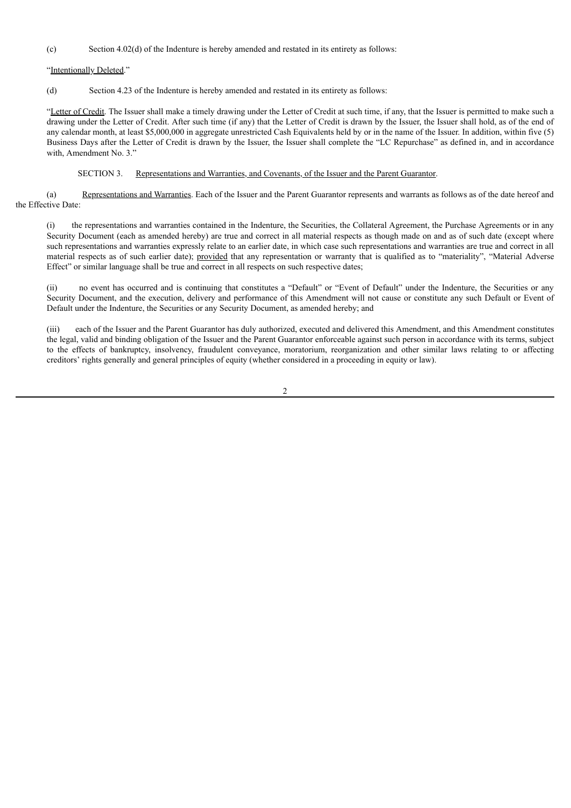(c) Section 4.02(d) of the Indenture is hereby amended and restated in its entirety as follows:

"Intentionally Deleted."

(d) Section 4.23 of the Indenture is hereby amended and restated in its entirety as follows:

"Letter of Credit. The Issuer shall make a timely drawing under the Letter of Credit at such time, if any, that the Issuer is permitted to make such a drawing under the Letter of Credit. After such time (if any) that the Letter of Credit is drawn by the Issuer, the Issuer shall hold, as of the end of any calendar month, at least \$5,000,000 in aggregate unrestricted Cash Equivalents held by or in the name of the Issuer. In addition, within five (5) Business Days after the Letter of Credit is drawn by the Issuer, the Issuer shall complete the "LC Repurchase" as defined in, and in accordance with, Amendment No. 3."

## SECTION 3. Representations and Warranties, and Covenants, of the Issuer and the Parent Guarantor.

(a) Representations and Warranties. Each of the Issuer and the Parent Guarantor represents and warrants as follows as of the date hereof and the Effective Date:

(i) the representations and warranties contained in the Indenture, the Securities, the Collateral Agreement, the Purchase Agreements or in any Security Document (each as amended hereby) are true and correct in all material respects as though made on and as of such date (except where such representations and warranties expressly relate to an earlier date, in which case such representations and warranties are true and correct in all material respects as of such earlier date); provided that any representation or warranty that is qualified as to "materiality", "Material Adverse Effect" or similar language shall be true and correct in all respects on such respective dates;

(ii) no event has occurred and is continuing that constitutes a "Default" or "Event of Default" under the Indenture, the Securities or any Security Document, and the execution, delivery and performance of this Amendment will not cause or constitute any such Default or Event of Default under the Indenture, the Securities or any Security Document, as amended hereby; and

(iii) each of the Issuer and the Parent Guarantor has duly authorized, executed and delivered this Amendment, and this Amendment constitutes the legal, valid and binding obligation of the Issuer and the Parent Guarantor enforceable against such person in accordance with its terms, subject to the effects of bankruptcy, insolvency, fraudulent conveyance, moratorium, reorganization and other similar laws relating to or affecting creditors' rights generally and general principles of equity (whether considered in a proceeding in equity or law).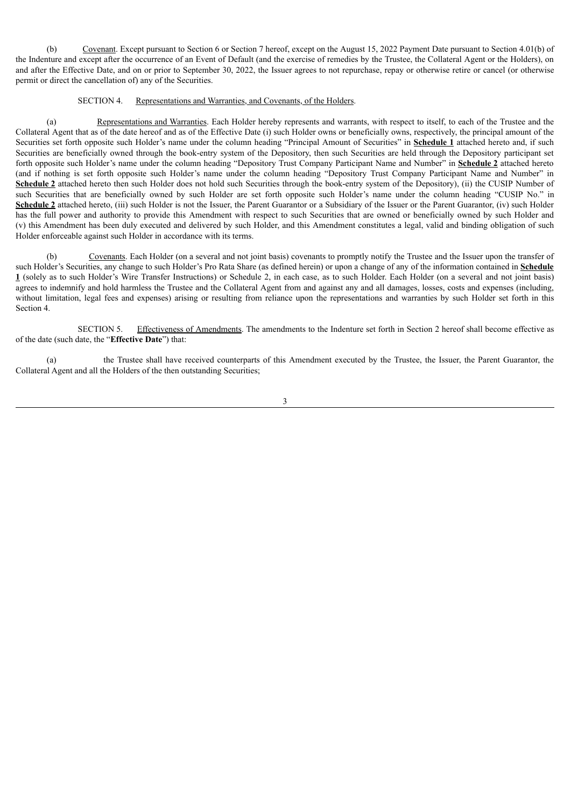(b) Covenant. Except pursuant to Section 6 or Section 7 hereof, except on the August 15, 2022 Payment Date pursuant to Section 4.01(b) of the Indenture and except after the occurrence of an Event of Default (and the exercise of remedies by the Trustee, the Collateral Agent or the Holders), on and after the Effective Date, and on or prior to September 30, 2022, the Issuer agrees to not repurchase, repay or otherwise retire or cancel (or otherwise permit or direct the cancellation of) any of the Securities.

# SECTION 4. Representations and Warranties, and Covenants, of the Holders.

(a) Representations and Warranties. Each Holder hereby represents and warrants, with respect to itself, to each of the Trustee and the Collateral Agent that as of the date hereof and as of the Effective Date (i) such Holder owns or beneficially owns, respectively, the principal amount of the Securities set forth opposite such Holder's name under the column heading "Principal Amount of Securities" in **Schedule 1** attached hereto and, if such Securities are beneficially owned through the book-entry system of the Depository, then such Securities are held through the Depository participant set forth opposite such Holder's name under the column heading "Depository Trust Company Participant Name and Number" in **Schedule 2** attached hereto (and if nothing is set forth opposite such Holder's name under the column heading "Depository Trust Company Participant Name and Number" in Schedule 2 attached hereto then such Holder does not hold such Securities through the book-entry system of the Depository), (ii) the CUSIP Number of such Securities that are beneficially owned by such Holder are set forth opposite such Holder's name under the column heading "CUSIP No." in Schedule 2 attached hereto, (iii) such Holder is not the Issuer, the Parent Guarantor or a Subsidiary of the Issuer or the Parent Guarantor, (iv) such Holder has the full power and authority to provide this Amendment with respect to such Securities that are owned or beneficially owned by such Holder and (v) this Amendment has been duly executed and delivered by such Holder, and this Amendment constitutes a legal, valid and binding obligation of such Holder enforceable against such Holder in accordance with its terms.

(b) Covenants. Each Holder (on a several and not joint basis) covenants to promptly notify the Trustee and the Issuer upon the transfer of such Holder's Securities, any change to such Holder's Pro Rata Share (as defined herein) or upon a change of any of the information contained in **Schedule 1** (solely as to such Holder's Wire Transfer Instructions) or Schedule 2, in each case, as to such Holder. Each Holder (on a several and not joint basis) agrees to indemnify and hold harmless the Trustee and the Collateral Agent from and against any and all damages, losses, costs and expenses (including, without limitation, legal fees and expenses) arising or resulting from reliance upon the representations and warranties by such Holder set forth in this Section 4.

SECTION 5. Effectiveness of Amendments. The amendments to the Indenture set forth in Section 2 hereof shall become effective as of the date (such date, the "**Effective Date**") that:

(a) the Trustee shall have received counterparts of this Amendment executed by the Trustee, the Issuer, the Parent Guarantor, the Collateral Agent and all the Holders of the then outstanding Securities;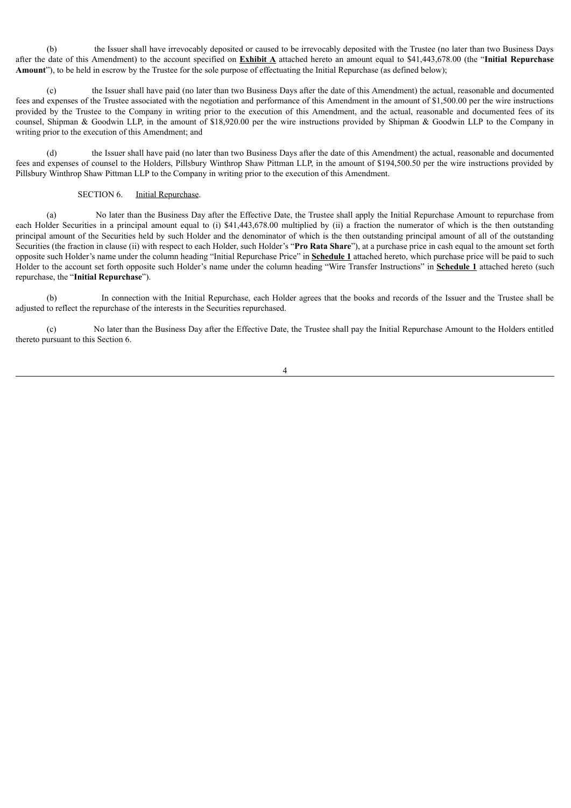(b) the Issuer shall have irrevocably deposited or caused to be irrevocably deposited with the Trustee (no later than two Business Days after the date of this Amendment) to the account specified on **Exhibit A** attached hereto an amount equal to \$41,443,678.00 (the "**Initial Repurchase Amount**"), to be held in escrow by the Trustee for the sole purpose of effectuating the Initial Repurchase (as defined below);

(c) the Issuer shall have paid (no later than two Business Days after the date of this Amendment) the actual, reasonable and documented fees and expenses of the Trustee associated with the negotiation and performance of this Amendment in the amount of \$1,500.00 per the wire instructions provided by the Trustee to the Company in writing prior to the execution of this Amendment, and the actual, reasonable and documented fees of its counsel, Shipman & Goodwin LLP, in the amount of \$18,920.00 per the wire instructions provided by Shipman & Goodwin LLP to the Company in writing prior to the execution of this Amendment; and

(d) the Issuer shall have paid (no later than two Business Days after the date of this Amendment) the actual, reasonable and documented fees and expenses of counsel to the Holders, Pillsbury Winthrop Shaw Pittman LLP, in the amount of \$194,500.50 per the wire instructions provided by Pillsbury Winthrop Shaw Pittman LLP to the Company in writing prior to the execution of this Amendment.

# SECTION 6. Initial Repurchase.

(a) No later than the Business Day after the Effective Date, the Trustee shall apply the Initial Repurchase Amount to repurchase from each Holder Securities in a principal amount equal to (i) \$41,443,678.00 multiplied by (ii) a fraction the numerator of which is the then outstanding principal amount of the Securities held by such Holder and the denominator of which is the then outstanding principal amount of all of the outstanding Securities (the fraction in clause (ii) with respect to each Holder, such Holder's "**Pro Rata Share**"), at a purchase price in cash equal to the amount set forth opposite such Holder's name under the column heading "Initial Repurchase Price" in **Schedule 1** attached hereto, which purchase price will be paid to such Holder to the account set forth opposite such Holder's name under the column heading "Wire Transfer Instructions" in **Schedule 1** attached hereto (such repurchase, the "**Initial Repurchase**").

(b) In connection with the Initial Repurchase, each Holder agrees that the books and records of the Issuer and the Trustee shall be adjusted to reflect the repurchase of the interests in the Securities repurchased.

(c) No later than the Business Day after the Effective Date, the Trustee shall pay the Initial Repurchase Amount to the Holders entitled thereto pursuant to this Section 6.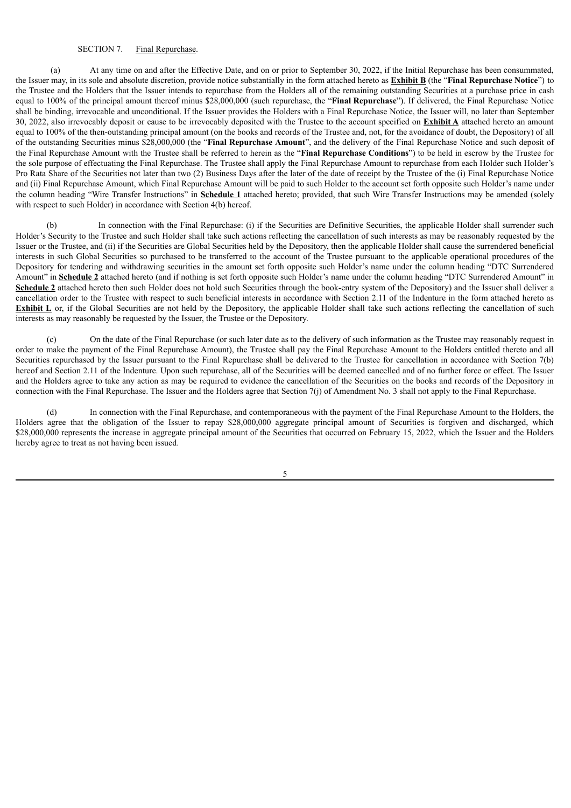#### SECTION 7. Final Repurchase.

(a) At any time on and after the Effective Date, and on or prior to September 30, 2022, if the Initial Repurchase has been consummated, the Issuer may, in its sole and absolute discretion, provide notice substantially in the form attached hereto as **Exhibit B** (the "**Final Repurchase Notice**") to the Trustee and the Holders that the Issuer intends to repurchase from the Holders all of the remaining outstanding Securities at a purchase price in cash equal to 100% of the principal amount thereof minus \$28,000,000 (such repurchase, the "**Final Repurchase**"). If delivered, the Final Repurchase Notice shall be binding, irrevocable and unconditional. If the Issuer provides the Holders with a Final Repurchase Notice, the Issuer will, no later than September 30, 2022, also irrevocably deposit or cause to be irrevocably deposited with the Trustee to the account specified on **Exhibit A** attached hereto an amount equal to 100% of the then-outstanding principal amount (on the books and records of the Trustee and, not, for the avoidance of doubt, the Depository) of all of the outstanding Securities minus \$28,000,000 (the "**Final Repurchase Amount**", and the delivery of the Final Repurchase Notice and such deposit of the Final Repurchase Amount with the Trustee shall be referred to herein as the "**Final Repurchase Conditions**") to be held in escrow by the Trustee for the sole purpose of effectuating the Final Repurchase. The Trustee shall apply the Final Repurchase Amount to repurchase from each Holder such Holder's Pro Rata Share of the Securities not later than two (2) Business Days after the later of the date of receipt by the Trustee of the (i) Final Repurchase Notice and (ii) Final Repurchase Amount, which Final Repurchase Amount will be paid to such Holder to the account set forth opposite such Holder's name under the column heading "Wire Transfer Instructions" in **Schedule 1** attached hereto; provided, that such Wire Transfer Instructions may be amended (solely with respect to such Holder) in accordance with Section 4(b) hereof.

(b) In connection with the Final Repurchase: (i) if the Securities are Definitive Securities, the applicable Holder shall surrender such Holder's Security to the Trustee and such Holder shall take such actions reflecting the cancellation of such interests as may be reasonably requested by the Issuer or the Trustee, and (ii) if the Securities are Global Securities held by the Depository, then the applicable Holder shall cause the surrendered beneficial interests in such Global Securities so purchased to be transferred to the account of the Trustee pursuant to the applicable operational procedures of the Depository for tendering and withdrawing securities in the amount set forth opposite such Holder's name under the column heading "DTC Surrendered Amount" in **Schedule 2** attached hereto (and if nothing is set forth opposite such Holder's name under the column heading "DTC Surrendered Amount" in Schedule 2 attached hereto then such Holder does not hold such Securities through the book-entry system of the Depository) and the Issuer shall deliver a cancellation order to the Trustee with respect to such beneficial interests in accordance with Section 2.11 of the Indenture in the form attached hereto as **Exhibit** L or, if the Global Securities are not held by the Depository, the applicable Holder shall take such actions reflecting the cancellation of such interests as may reasonably be requested by the Issuer, the Trustee or the Depository.

(c) On the date of the Final Repurchase (or such later date as to the delivery of such information as the Trustee may reasonably request in order to make the payment of the Final Repurchase Amount), the Trustee shall pay the Final Repurchase Amount to the Holders entitled thereto and all Securities repurchased by the Issuer pursuant to the Final Repurchase shall be delivered to the Trustee for cancellation in accordance with Section 7(b) hereof and Section 2.11 of the Indenture. Upon such repurchase, all of the Securities will be deemed cancelled and of no further force or effect. The Issuer and the Holders agree to take any action as may be required to evidence the cancellation of the Securities on the books and records of the Depository in connection with the Final Repurchase. The Issuer and the Holders agree that Section 7(j) of Amendment No. 3 shall not apply to the Final Repurchase.

(d) In connection with the Final Repurchase, and contemporaneous with the payment of the Final Repurchase Amount to the Holders, the Holders agree that the obligation of the Issuer to repay \$28,000,000 aggregate principal amount of Securities is forgiven and discharged, which \$28,000,000 represents the increase in aggregate principal amount of the Securities that occurred on February 15, 2022, which the Issuer and the Holders hereby agree to treat as not having been issued.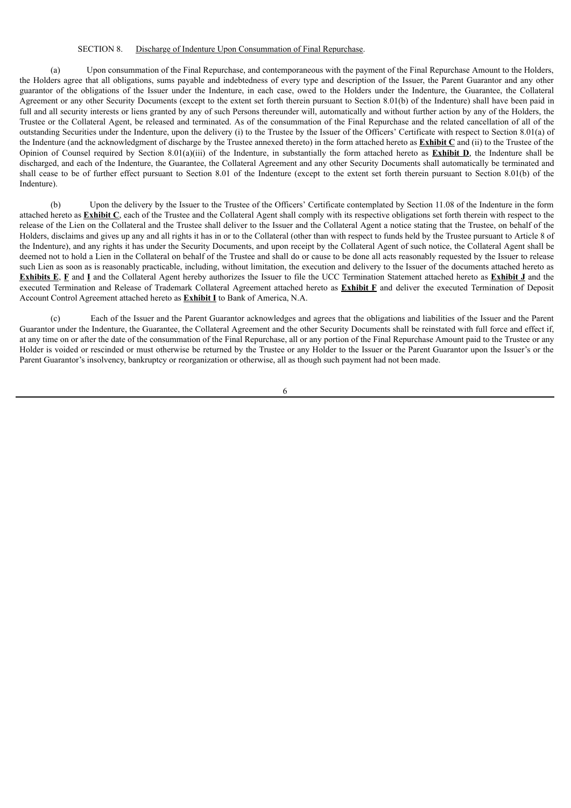#### SECTION 8. Discharge of Indenture Upon Consummation of Final Repurchase.

(a) Upon consummation of the Final Repurchase, and contemporaneous with the payment of the Final Repurchase Amount to the Holders, the Holders agree that all obligations, sums payable and indebtedness of every type and description of the Issuer, the Parent Guarantor and any other guarantor of the obligations of the Issuer under the Indenture, in each case, owed to the Holders under the Indenture, the Guarantee, the Collateral Agreement or any other Security Documents (except to the extent set forth therein pursuant to Section 8.01(b) of the Indenture) shall have been paid in full and all security interests or liens granted by any of such Persons thereunder will, automatically and without further action by any of the Holders, the Trustee or the Collateral Agent, be released and terminated. As of the consummation of the Final Repurchase and the related cancellation of all of the outstanding Securities under the Indenture, upon the delivery (i) to the Trustee by the Issuer of the Officers' Certificate with respect to Section 8.01(a) of the Indenture (and the acknowledgment of discharge by the Trustee annexed thereto) in the form attached hereto as **Exhibit C** and (ii) to the Trustee of the Opinion of Counsel required by Section 8.01(a)(iii) of the Indenture, in substantially the form attached hereto as **Exhibit D**, the Indenture shall be discharged, and each of the Indenture, the Guarantee, the Collateral Agreement and any other Security Documents shall automatically be terminated and shall cease to be of further effect pursuant to Section 8.01 of the Indenture (except to the extent set forth therein pursuant to Section 8.01(b) of the Indenture).

(b) Upon the delivery by the Issuer to the Trustee of the Officers' Certificate contemplated by Section 11.08 of the Indenture in the form attached hereto as **Exhibit C**, each of the Trustee and the Collateral Agent shall comply with its respective obligations set forth therein with respect to the release of the Lien on the Collateral and the Trustee shall deliver to the Issuer and the Collateral Agent a notice stating that the Trustee, on behalf of the Holders, disclaims and gives up any and all rights it has in or to the Collateral (other than with respect to funds held by the Trustee pursuant to Article 8 of the Indenture), and any rights it has under the Security Documents, and upon receipt by the Collateral Agent of such notice, the Collateral Agent shall be deemed not to hold a Lien in the Collateral on behalf of the Trustee and shall do or cause to be done all acts reasonably requested by the Issuer to release such Lien as soon as is reasonably practicable, including, without limitation, the execution and delivery to the Issuer of the documents attached hereto as **Exhibits E**, **F** and **I** and the Collateral Agent hereby authorizes the Issuer to file the UCC Termination Statement attached hereto as **Exhibit J** and the executed Termination and Release of Trademark Collateral Agreement attached hereto as **Exhibit F** and deliver the executed Termination of Deposit Account Control Agreement attached hereto as **Exhibit I** to Bank of America, N.A.

(c) Each of the Issuer and the Parent Guarantor acknowledges and agrees that the obligations and liabilities of the Issuer and the Parent Guarantor under the Indenture, the Guarantee, the Collateral Agreement and the other Security Documents shall be reinstated with full force and effect if, at any time on or after the date of the consummation of the Final Repurchase, all or any portion of the Final Repurchase Amount paid to the Trustee or any Holder is voided or rescinded or must otherwise be returned by the Trustee or any Holder to the Issuer or the Parent Guarantor upon the Issuer's or the Parent Guarantor's insolvency, bankruptcy or reorganization or otherwise, all as though such payment had not been made.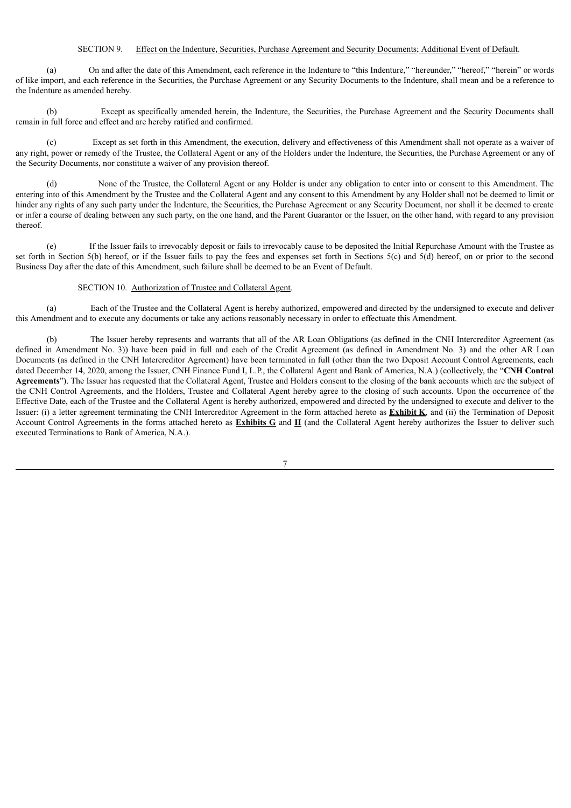# SECTION 9. Effect on the Indenture, Securities, Purchase Agreement and Security Documents; Additional Event of Default.

(a) On and after the date of this Amendment, each reference in the Indenture to "this Indenture," "hereunder," "hereof," "herein" or words of like import, and each reference in the Securities, the Purchase Agreement or any Security Documents to the Indenture, shall mean and be a reference to the Indenture as amended hereby.

(b) Except as specifically amended herein, the Indenture, the Securities, the Purchase Agreement and the Security Documents shall remain in full force and effect and are hereby ratified and confirmed.

(c) Except as set forth in this Amendment, the execution, delivery and effectiveness of this Amendment shall not operate as a waiver of any right, power or remedy of the Trustee, the Collateral Agent or any of the Holders under the Indenture, the Securities, the Purchase Agreement or any of the Security Documents, nor constitute a waiver of any provision thereof.

(d) None of the Trustee, the Collateral Agent or any Holder is under any obligation to enter into or consent to this Amendment. The entering into of this Amendment by the Trustee and the Collateral Agent and any consent to this Amendment by any Holder shall not be deemed to limit or hinder any rights of any such party under the Indenture, the Securities, the Purchase Agreement or any Security Document, nor shall it be deemed to create or infer a course of dealing between any such party, on the one hand, and the Parent Guarantor or the Issuer, on the other hand, with regard to any provision thereof.

(e) If the Issuer fails to irrevocably deposit or fails to irrevocably cause to be deposited the Initial Repurchase Amount with the Trustee as set forth in Section 5(b) hereof, or if the Issuer fails to pay the fees and expenses set forth in Sections 5(c) and 5(d) hereof, on or prior to the second Business Day after the date of this Amendment, such failure shall be deemed to be an Event of Default.

#### SECTION 10. Authorization of Trustee and Collateral Agent.

(a) Each of the Trustee and the Collateral Agent is hereby authorized, empowered and directed by the undersigned to execute and deliver this Amendment and to execute any documents or take any actions reasonably necessary in order to effectuate this Amendment.

(b) The Issuer hereby represents and warrants that all of the AR Loan Obligations (as defined in the CNH Intercreditor Agreement (as defined in Amendment No. 3)) have been paid in full and each of the Credit Agreement (as defined in Amendment No. 3) and the other AR Loan Documents (as defined in the CNH Intercreditor Agreement) have been terminated in full (other than the two Deposit Account Control Agreements, each dated December 14, 2020, among the Issuer, CNH Finance Fund I, L.P., the Collateral Agent and Bank of America, N.A.) (collectively, the "**CNH Control Agreements**"). The Issuer has requested that the Collateral Agent, Trustee and Holders consent to the closing of the bank accounts which are the subject of the CNH Control Agreements, and the Holders, Trustee and Collateral Agent hereby agree to the closing of such accounts. Upon the occurrence of the Effective Date, each of the Trustee and the Collateral Agent is hereby authorized, empowered and directed by the undersigned to execute and deliver to the Issuer: (i) a letter agreement terminating the CNH Intercreditor Agreement in the form attached hereto as **Exhibit K**, and (ii) the Termination of Deposit Account Control Agreements in the forms attached hereto as **Exhibits G** and **H** (and the Collateral Agent hereby authorizes the Issuer to deliver such executed Terminations to Bank of America, N.A.).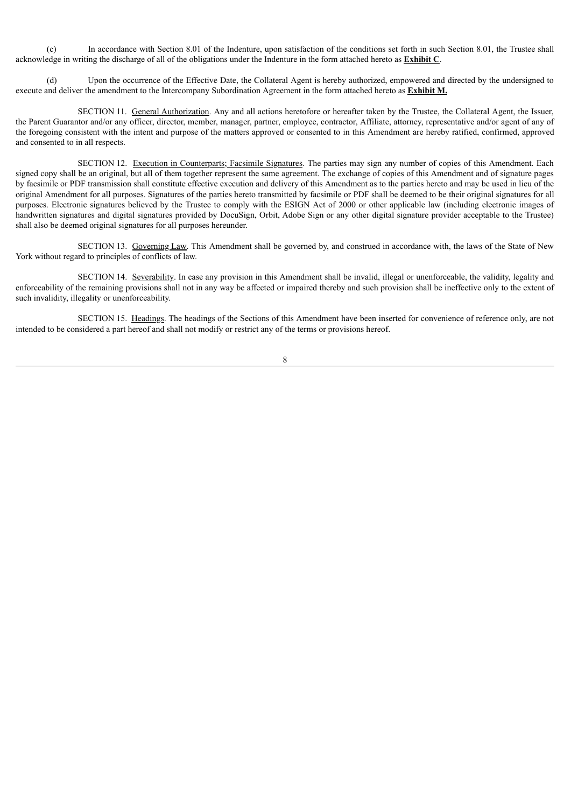(c) In accordance with Section 8.01 of the Indenture, upon satisfaction of the conditions set forth in such Section 8.01, the Trustee shall acknowledge in writing the discharge of all of the obligations under the Indenture in the form attached hereto as **Exhibit C**.

(d) Upon the occurrence of the Effective Date, the Collateral Agent is hereby authorized, empowered and directed by the undersigned to execute and deliver the amendment to the Intercompany Subordination Agreement in the form attached hereto as **Exhibit M.**

SECTION 11. General Authorization. Any and all actions heretofore or hereafter taken by the Trustee, the Collateral Agent, the Issuer, the Parent Guarantor and/or any officer, director, member, manager, partner, employee, contractor, Affiliate, attorney, representative and/or agent of any of the foregoing consistent with the intent and purpose of the matters approved or consented to in this Amendment are hereby ratified, confirmed, approved and consented to in all respects.

SECTION 12. Execution in Counterparts; Facsimile Signatures. The parties may sign any number of copies of this Amendment. Each signed copy shall be an original, but all of them together represent the same agreement. The exchange of copies of this Amendment and of signature pages by facsimile or PDF transmission shall constitute effective execution and delivery of this Amendment as to the parties hereto and may be used in lieu of the original Amendment for all purposes. Signatures of the parties hereto transmitted by facsimile or PDF shall be deemed to be their original signatures for all purposes. Electronic signatures believed by the Trustee to comply with the ESIGN Act of 2000 or other applicable law (including electronic images of handwritten signatures and digital signatures provided by DocuSign, Orbit, Adobe Sign or any other digital signature provider acceptable to the Trustee) shall also be deemed original signatures for all purposes hereunder.

SECTION 13. Governing Law. This Amendment shall be governed by, and construed in accordance with, the laws of the State of New York without regard to principles of conflicts of law.

SECTION 14. Severability. In case any provision in this Amendment shall be invalid, illegal or unenforceable, the validity, legality and enforceability of the remaining provisions shall not in any way be affected or impaired thereby and such provision shall be ineffective only to the extent of such invalidity, illegality or unenforceability.

SECTION 15. Headings. The headings of the Sections of this Amendment have been inserted for convenience of reference only, are not intended to be considered a part hereof and shall not modify or restrict any of the terms or provisions hereof.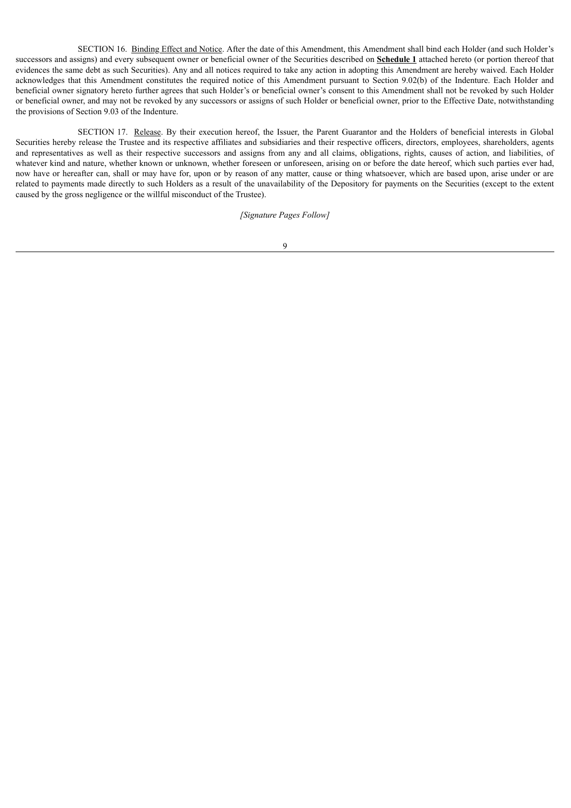SECTION 16. Binding Effect and Notice. After the date of this Amendment, this Amendment shall bind each Holder (and such Holder's successors and assigns) and every subsequent owner or beneficial owner of the Securities described on **Schedule 1** attached hereto (or portion thereof that evidences the same debt as such Securities). Any and all notices required to take any action in adopting this Amendment are hereby waived. Each Holder acknowledges that this Amendment constitutes the required notice of this Amendment pursuant to Section 9.02(b) of the Indenture. Each Holder and beneficial owner signatory hereto further agrees that such Holder's or beneficial owner's consent to this Amendment shall not be revoked by such Holder or beneficial owner, and may not be revoked by any successors or assigns of such Holder or beneficial owner, prior to the Effective Date, notwithstanding the provisions of Section 9.03 of the Indenture.

SECTION 17. Release. By their execution hereof, the Issuer, the Parent Guarantor and the Holders of beneficial interests in Global Securities hereby release the Trustee and its respective affiliates and subsidiaries and their respective officers, directors, employees, shareholders, agents and representatives as well as their respective successors and assigns from any and all claims, obligations, rights, causes of action, and liabilities, of whatever kind and nature, whether known or unknown, whether foreseen or unforeseen, arising on or before the date hereof, which such parties ever had, now have or hereafter can, shall or may have for, upon or by reason of any matter, cause or thing whatsoever, which are based upon, arise under or are related to payments made directly to such Holders as a result of the unavailability of the Depository for payments on the Securities (except to the extent caused by the gross negligence or the willful misconduct of the Trustee).

*[Signature Pages Follow]*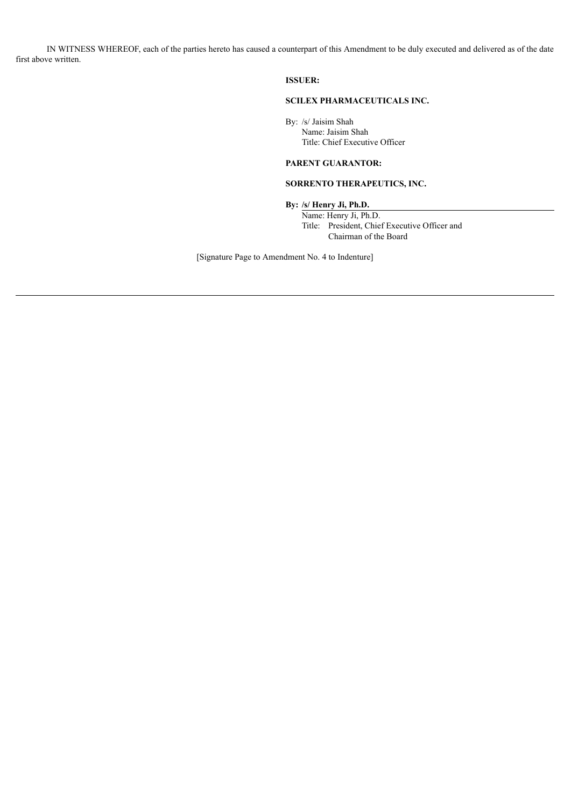IN WITNESS WHEREOF, each of the parties hereto has caused a counterpart of this Amendment to be duly executed and delivered as of the date first above written.

**ISSUER:**

# **SCILEX PHARMACEUTICALS INC.**

By: /s/ Jaisim Shah Name: Jaisim Shah Title: Chief Executive Officer

# **PARENT GUARANTOR:**

# **SORRENTO THERAPEUTICS, INC.**

**By: /s/ Henry Ji, Ph.D.**

Name: Henry Ji, Ph.D. Title: President, Chief Executive Officer and Chairman of the Board

[Signature Page to Amendment No. 4 to Indenture]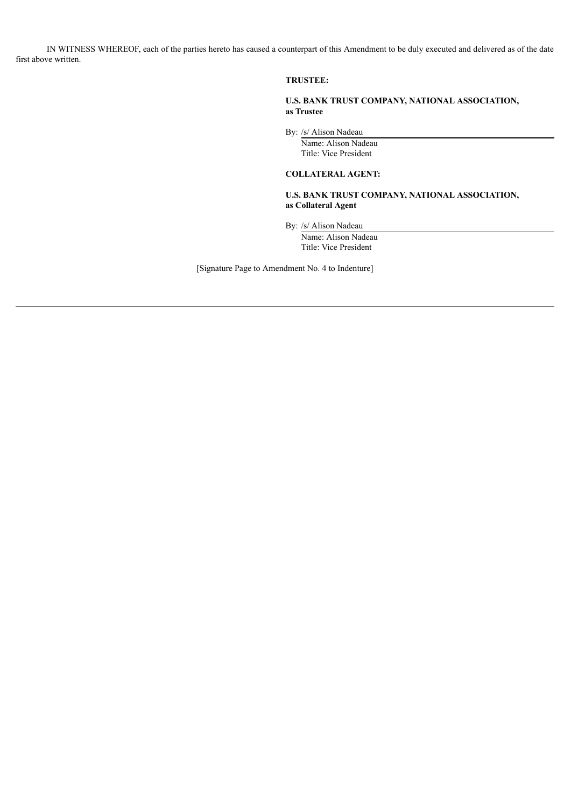IN WITNESS WHEREOF, each of the parties hereto has caused a counterpart of this Amendment to be duly executed and delivered as of the date first above written.

# **TRUSTEE:**

**U.S. BANK TRUST COMPANY, NATIONAL ASSOCIATION, as Trustee**

By: /s/ Alison Nadeau

Name: Alison Nadeau Title: Vice President

# **COLLATERAL AGENT:**

**U.S. BANK TRUST COMPANY, NATIONAL ASSOCIATION, as Collateral Agent**

By: /s/ Alison Nadeau

Name: Alison Nadeau Title: Vice President

[Signature Page to Amendment No. 4 to Indenture]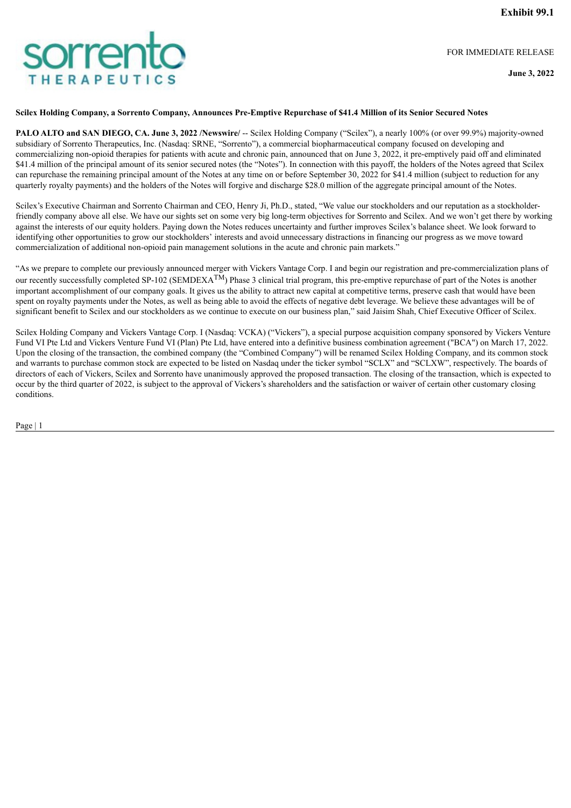FOR IMMEDIATE RELEASE

**June 3, 2022**

## Scilex Holding Company, a Sorrento Company, Announces Pre-Emptive Repurchase of \$41.4 Million of its Senior Secured Notes

**PALO ALTO and SAN DIEGO, CA. June 3, 2022 /Newswire/** -- Scilex Holding Company ("Scilex"), a nearly 100% (or over 99.9%) majority-owned subsidiary of Sorrento Therapeutics, Inc. (Nasdaq: SRNE, "Sorrento"), a commercial biopharmaceutical company focused on developing and commercializing non-opioid therapies for patients with acute and chronic pain, announced that on June 3, 2022, it pre-emptively paid off and eliminated \$41.4 million of the principal amount of its senior secured notes (the "Notes"). In connection with this payoff, the holders of the Notes agreed that Scilex can repurchase the remaining principal amount of the Notes at any time on or before September 30, 2022 for \$41.4 million (subject to reduction for any quarterly royalty payments) and the holders of the Notes will forgive and discharge \$28.0 million of the aggregate principal amount of the Notes.

Scilex's Executive Chairman and Sorrento Chairman and CEO, Henry Ji, Ph.D., stated, "We value our stockholders and our reputation as a stockholderfriendly company above all else. We have our sights set on some very big long-term objectives for Sorrento and Scilex. And we won't get there by working against the interests of our equity holders. Paying down the Notes reduces uncertainty and further improves Scilex's balance sheet. We look forward to identifying other opportunities to grow our stockholders' interests and avoid unnecessary distractions in financing our progress as we move toward commercialization of additional non-opioid pain management solutions in the acute and chronic pain markets."

"As we prepare to complete our previously announced merger with Vickers Vantage Corp. I and begin our registration and pre-commercialization plans of our recently successfully completed SP-102 (SEMDEXA<sup>TM</sup>) Phase 3 clinical trial program, this pre-emptive repurchase of part of the Notes is another important accomplishment of our company goals. It gives us the ability to attract new capital at competitive terms, preserve cash that would have been spent on royalty payments under the Notes, as well as being able to avoid the effects of negative debt leverage. We believe these advantages will be of significant benefit to Scilex and our stockholders as we continue to execute on our business plan," said Jaisim Shah, Chief Executive Officer of Scilex.

Scilex Holding Company and Vickers Vantage Corp. I (Nasdaq: VCKA) ("Vickers"), a special purpose acquisition company sponsored by Vickers Venture Fund VI Pte Ltd and Vickers Venture Fund VI (Plan) Pte Ltd, have entered into a definitive business combination agreement ("BCA") on March 17, 2022. Upon the closing of the transaction, the combined company (the "Combined Company") will be renamed Scilex Holding Company, and its common stock and warrants to purchase common stock are expected to be listed on Nasdaq under the ticker symbol "SCLX" and "SCLXW", respectively. The boards of directors of each of Vickers, Scilex and Sorrento have unanimously approved the proposed transaction. The closing of the transaction, which is expected to occur by the third quarter of 2022, is subject to the approval of Vickers's shareholders and the satisfaction or waiver of certain other customary closing conditions.

Page | 1

# <span id="page-14-0"></span>**prrej** HERAPEUTIC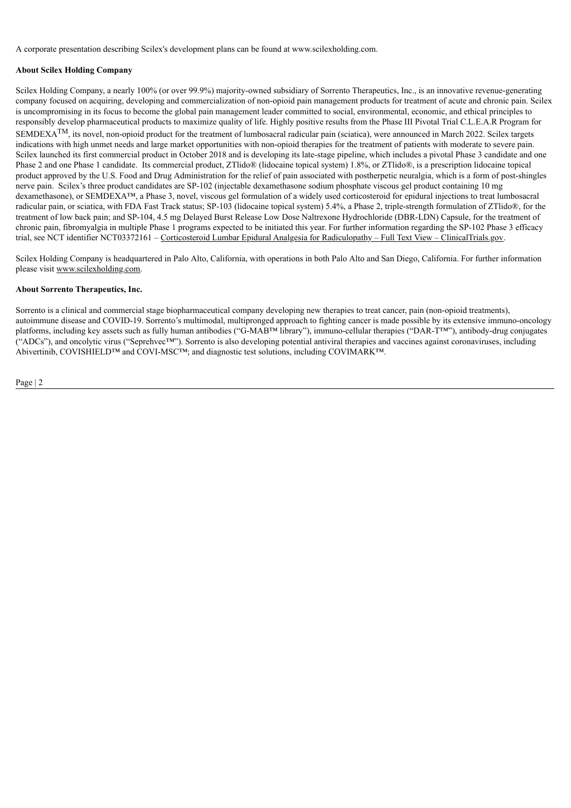A corporate presentation describing Scilex's development plans can be found at www.scilexholding.com.

# **About Scilex Holding Company**

Scilex Holding Company, a nearly 100% (or over 99.9%) majority-owned subsidiary of Sorrento Therapeutics, Inc., is an innovative revenue-generating company focused on acquiring, developing and commercialization of non-opioid pain management products for treatment of acute and chronic pain. Scilex is uncompromising in its focus to become the global pain management leader committed to social, environmental, economic, and ethical principles to responsibly develop pharmaceutical products to maximize quality of life. Highly positive results from the Phase III Pivotal Trial C.L.E.A.R Program for  $SEMDEXA<sup>TM</sup>$ , its novel, non-opioid product for the treatment of lumbosacral radicular pain (sciatica), were announced in March 2022. Scilex targets indications with high unmet needs and large market opportunities with non-opioid therapies for the treatment of patients with moderate to severe pain. Scilex launched its first commercial product in October 2018 and is developing its late-stage pipeline, which includes a pivotal Phase 3 candidate and one Phase 2 and one Phase 1 candidate. Its commercial product, ZTlido® (lidocaine topical system) 1.8%, or ZTlido®, is a prescription lidocaine topical product approved by the U.S. Food and Drug Administration for the relief of pain associated with postherpetic neuralgia, which is a form of post-shingles nerve pain. Scilex's three product candidates are SP-102 (injectable dexamethasone sodium phosphate viscous gel product containing 10 mg dexamethasone), or SEMDEXA™, a Phase 3, novel, viscous gel formulation of a widely used corticosteroid for epidural injections to treat lumbosacral radicular pain, or sciatica, with FDA Fast Track status; SP-103 (lidocaine topical system) 5.4%, a Phase 2, triple-strength formulation of ZTlido®, for the treatment of low back pain; and SP-104, 4.5 mg Delayed Burst Release Low Dose Naltrexone Hydrochloride (DBR-LDN) Capsule, for the treatment of chronic pain, fibromyalgia in multiple Phase 1 programs expected to be initiated this year. For further information regarding the SP-102 Phase 3 efficacy trial, see NCT identifier NCT03372161 – Corticosteroid Lumbar Epidural Analgesia for Radiculopathy – Full Text View – ClinicalTrials.gov.

Scilex Holding Company is headquartered in Palo Alto, California, with operations in both Palo Alto and San Diego, California. For further information please visit www.scilexholding.com.

# **About Sorrento Therapeutics, Inc.**

Sorrento is a clinical and commercial stage biopharmaceutical company developing new therapies to treat cancer, pain (non-opioid treatments), autoimmune disease and COVID-19. Sorrento's multimodal, multipronged approach to fighting cancer is made possible by its extensive immuno-oncology platforms, including key assets such as fully human antibodies ("G-MAB™ library"), immuno-cellular therapies ("DAR-T™"), antibody-drug conjugates ("ADCs"), and oncolytic virus ("Seprehvec™"). Sorrento is also developing potential antiviral therapies and vaccines against coronaviruses, including Abivertinib, COVISHIELD™ and COVI-MSC™; and diagnostic test solutions, including COVIMARK™.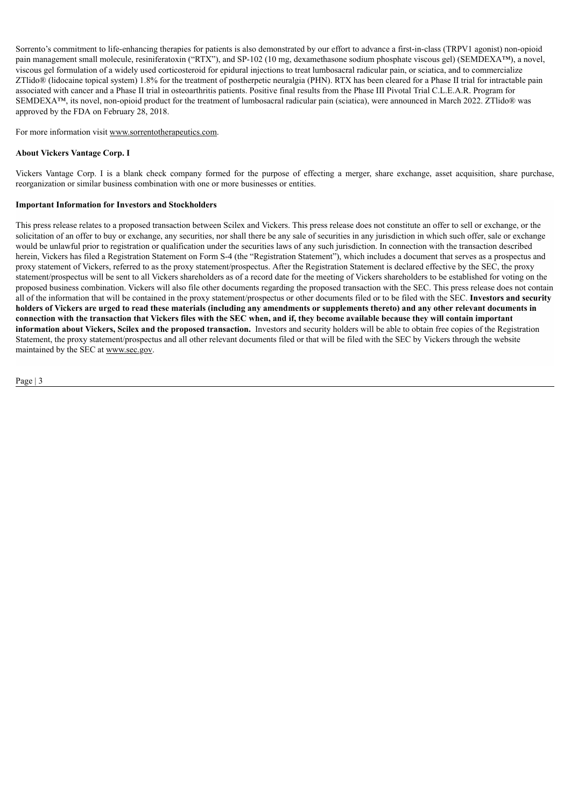Sorrento's commitment to life-enhancing therapies for patients is also demonstrated by our effort to advance a first-in-class (TRPV1 agonist) non-opioid pain management small molecule, resiniferatoxin ("RTX"), and SP-102 (10 mg, dexamethasone sodium phosphate viscous gel) (SEMDEXA™), a novel, viscous gel formulation of a widely used corticosteroid for epidural injections to treat lumbosacral radicular pain, or sciatica, and to commercialize ZTlido® (lidocaine topical system) 1.8% for the treatment of postherpetic neuralgia (PHN). RTX has been cleared for a Phase II trial for intractable pain associated with cancer and a Phase II trial in osteoarthritis patients. Positive final results from the Phase III Pivotal Trial C.L.E.A.R. Program for SEMDEXA™, its novel, non-opioid product for the treatment of lumbosacral radicular pain (sciatica), were announced in March 2022. ZTlido® was approved by the FDA on February 28, 2018.

For more information visit www.sorrentotherapeutics.com.

# **About Vickers Vantage Corp. I**

Vickers Vantage Corp. I is a blank check company formed for the purpose of effecting a merger, share exchange, asset acquisition, share purchase, reorganization or similar business combination with one or more businesses or entities.

# **Important Information for Investors and Stockholders**

This press release relates to a proposed transaction between Scilex and Vickers. This press release does not constitute an offer to sell or exchange, or the solicitation of an offer to buy or exchange, any securities, nor shall there be any sale of securities in any jurisdiction in which such offer, sale or exchange would be unlawful prior to registration or qualification under the securities laws of any such jurisdiction. In connection with the transaction described herein, Vickers has filed a Registration Statement on Form S-4 (the "Registration Statement"), which includes a document that serves as a prospectus and proxy statement of Vickers, referred to as the proxy statement/prospectus. After the Registration Statement is declared effective by the SEC, the proxy statement/prospectus will be sent to all Vickers shareholders as of a record date for the meeting of Vickers shareholders to be established for voting on the proposed business combination. Vickers will also file other documents regarding the proposed transaction with the SEC. This press release does not contain all of the information that will be contained in the proxy statement/prospectus or other documents filed or to be filed with the SEC. **Investors and security** holders of Vickers are urged to read these materials (including any amendments or supplements thereto) and any other relevant documents in connection with the transaction that Vickers files with the SEC when, and if, they become available because they will contain important **information about Vickers, Scilex and the proposed transaction.** Investors and security holders will be able to obtain free copies of the Registration Statement, the proxy statement/prospectus and all other relevant documents filed or that will be filed with the SEC by Vickers through the website maintained by the SEC at www.sec.gov.

```
Page | 3
```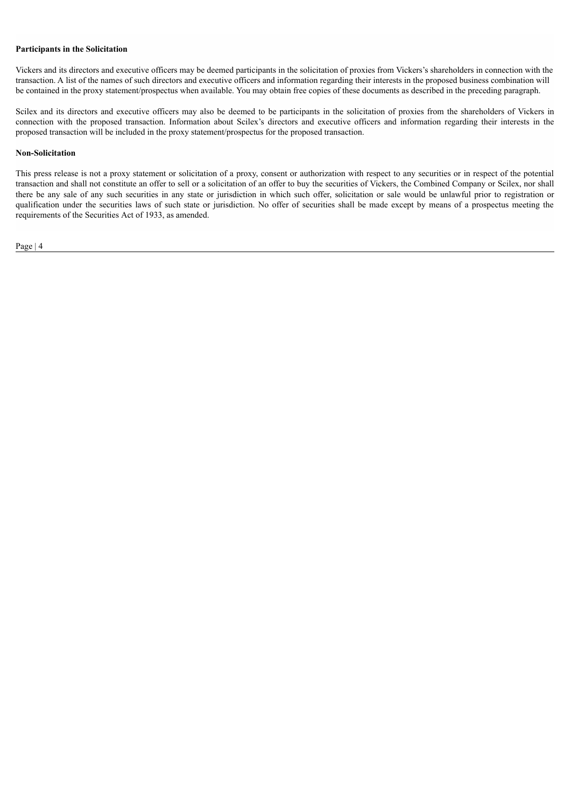#### **Participants in the Solicitation**

Vickers and its directors and executive officers may be deemed participants in the solicitation of proxies from Vickers's shareholders in connection with the transaction. A list of the names of such directors and executive officers and information regarding their interests in the proposed business combination will be contained in the proxy statement/prospectus when available. You may obtain free copies of these documents as described in the preceding paragraph.

Scilex and its directors and executive officers may also be deemed to be participants in the solicitation of proxies from the shareholders of Vickers in connection with the proposed transaction. Information about Scilex's directors and executive officers and information regarding their interests in the proposed transaction will be included in the proxy statement/prospectus for the proposed transaction.

#### **Non-Solicitation**

This press release is not a proxy statement or solicitation of a proxy, consent or authorization with respect to any securities or in respect of the potential transaction and shall not constitute an offer to sell or a solicitation of an offer to buy the securities of Vickers, the Combined Company or Scilex, nor shall there be any sale of any such securities in any state or jurisdiction in which such offer, solicitation or sale would be unlawful prior to registration or qualification under the securities laws of such state or jurisdiction. No offer of securities shall be made except by means of a prospectus meeting the requirements of the Securities Act of 1933, as amended.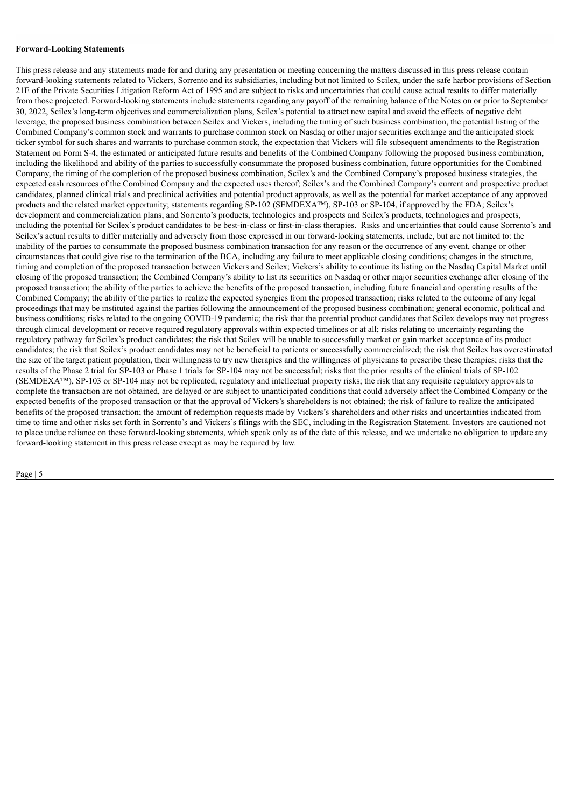## **Forward-Looking Statements**

This press release and any statements made for and during any presentation or meeting concerning the matters discussed in this press release contain forward-looking statements related to Vickers, Sorrento and its subsidiaries, including but not limited to Scilex, under the safe harbor provisions of Section 21E of the Private Securities Litigation Reform Act of 1995 and are subject to risks and uncertainties that could cause actual results to differ materially from those projected. Forward-looking statements include statements regarding any payoff of the remaining balance of the Notes on or prior to September 30, 2022, Scilex's long-term objectives and commercialization plans, Scilex's potential to attract new capital and avoid the effects of negative debt leverage, the proposed business combination between Scilex and Vickers, including the timing of such business combination, the potential listing of the Combined Company's common stock and warrants to purchase common stock on Nasdaq or other major securities exchange and the anticipated stock ticker symbol for such shares and warrants to purchase common stock, the expectation that Vickers will file subsequent amendments to the Registration Statement on Form S-4, the estimated or anticipated future results and benefits of the Combined Company following the proposed business combination, including the likelihood and ability of the parties to successfully consummate the proposed business combination, future opportunities for the Combined Company, the timing of the completion of the proposed business combination, Scilex's and the Combined Company's proposed business strategies, the expected cash resources of the Combined Company and the expected uses thereof; Scilex's and the Combined Company's current and prospective product candidates, planned clinical trials and preclinical activities and potential product approvals, as well as the potential for market acceptance of any approved products and the related market opportunity; statements regarding SP-102 (SEMDEXA™), SP-103 or SP-104, if approved by the FDA; Scilex's development and commercialization plans; and Sorrento's products, technologies and prospects and Scilex's products, technologies and prospects, including the potential for Scilex's product candidates to be best-in-class or first-in-class therapies. Risks and uncertainties that could cause Sorrento's and Scilex's actual results to differ materially and adversely from those expressed in our forward-looking statements, include, but are not limited to: the inability of the parties to consummate the proposed business combination transaction for any reason or the occurrence of any event, change or other circumstances that could give rise to the termination of the BCA, including any failure to meet applicable closing conditions; changes in the structure, timing and completion of the proposed transaction between Vickers and Scilex; Vickers's ability to continue its listing on the Nasdaq Capital Market until closing of the proposed transaction; the Combined Company's ability to list its securities on Nasdaq or other major securities exchange after closing of the proposed transaction; the ability of the parties to achieve the benefits of the proposed transaction, including future financial and operating results of the Combined Company; the ability of the parties to realize the expected synergies from the proposed transaction; risks related to the outcome of any legal proceedings that may be instituted against the parties following the announcement of the proposed business combination; general economic, political and business conditions; risks related to the ongoing COVID-19 pandemic; the risk that the potential product candidates that Scilex develops may not progress through clinical development or receive required regulatory approvals within expected timelines or at all; risks relating to uncertainty regarding the regulatory pathway for Scilex's product candidates; the risk that Scilex will be unable to successfully market or gain market acceptance of its product candidates; the risk that Scilex's product candidates may not be beneficial to patients or successfully commercialized; the risk that Scilex has overestimated the size of the target patient population, their willingness to try new therapies and the willingness of physicians to prescribe these therapies; risks that the results of the Phase 2 trial for SP-103 or Phase 1 trials for SP-104 may not be successful; risks that the prior results of the clinical trials of SP-102 (SEMDEXA™), SP-103 or SP-104 may not be replicated; regulatory and intellectual property risks; the risk that any requisite regulatory approvals to complete the transaction are not obtained, are delayed or are subject to unanticipated conditions that could adversely affect the Combined Company or the expected benefits of the proposed transaction or that the approval of Vickers's shareholders is not obtained; the risk of failure to realize the anticipated benefits of the proposed transaction; the amount of redemption requests made by Vickers's shareholders and other risks and uncertainties indicated from time to time and other risks set forth in Sorrento's and Vickers's filings with the SEC, including in the Registration Statement. Investors are cautioned not to place undue reliance on these forward-looking statements, which speak only as of the date of this release, and we undertake no obligation to update any forward-looking statement in this press release except as may be required by law.